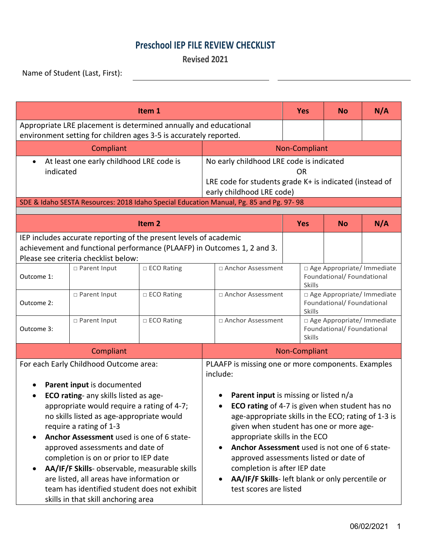## **Preschool IEP FILE REVIEW CHECKLIST**

**Revised 2021**

<u> Alexandro de la contrada de la contrada de la contrada de la contrada de la contrada de la contrada de la con</u>

Name of Student (Last, First):

| Item 1                                                                                                                                                                                                                                                                                                                                                                                                                                                                                                                                                          |                |              |                                                                                                                                                                                                                                                                                                                                                                                                                                                                                                                                 |                                                                             | <b>No</b>                                                  | N/A |  |  |
|-----------------------------------------------------------------------------------------------------------------------------------------------------------------------------------------------------------------------------------------------------------------------------------------------------------------------------------------------------------------------------------------------------------------------------------------------------------------------------------------------------------------------------------------------------------------|----------------|--------------|---------------------------------------------------------------------------------------------------------------------------------------------------------------------------------------------------------------------------------------------------------------------------------------------------------------------------------------------------------------------------------------------------------------------------------------------------------------------------------------------------------------------------------|-----------------------------------------------------------------------------|------------------------------------------------------------|-----|--|--|
| Appropriate LRE placement is determined annually and educational<br>environment setting for children ages 3-5 is accurately reported.                                                                                                                                                                                                                                                                                                                                                                                                                           |                |              |                                                                                                                                                                                                                                                                                                                                                                                                                                                                                                                                 |                                                                             |                                                            |     |  |  |
|                                                                                                                                                                                                                                                                                                                                                                                                                                                                                                                                                                 | Compliant      |              | Non-Compliant                                                                                                                                                                                                                                                                                                                                                                                                                                                                                                                   |                                                                             |                                                            |     |  |  |
| At least one early childhood LRE code is<br>$\bullet$<br>indicated<br>SDE & Idaho SESTA Resources: 2018 Idaho Special Education Manual, Pg. 85 and Pg. 97-98                                                                                                                                                                                                                                                                                                                                                                                                    |                |              | No early childhood LRE code is indicated<br>OR<br>LRE code for students grade K+ is indicated (instead of<br>early childhood LRE code)                                                                                                                                                                                                                                                                                                                                                                                          |                                                                             |                                                            |     |  |  |
| Item <sub>2</sub>                                                                                                                                                                                                                                                                                                                                                                                                                                                                                                                                               |                |              |                                                                                                                                                                                                                                                                                                                                                                                                                                                                                                                                 | <b>Yes</b>                                                                  | <b>No</b>                                                  | N/A |  |  |
| IEP includes accurate reporting of the present levels of academic<br>achievement and functional performance (PLAAFP) in Outcomes 1, 2 and 3.<br>Please see criteria checklist below:                                                                                                                                                                                                                                                                                                                                                                            |                |              |                                                                                                                                                                                                                                                                                                                                                                                                                                                                                                                                 |                                                                             |                                                            |     |  |  |
| Outcome 1:                                                                                                                                                                                                                                                                                                                                                                                                                                                                                                                                                      | □ Parent Input | □ ECO Rating | □ Anchor Assessment                                                                                                                                                                                                                                                                                                                                                                                                                                                                                                             | <b>Skills</b>                                                               | □ Age Appropriate/ Immediate<br>Foundational/ Foundational |     |  |  |
| Outcome 2:                                                                                                                                                                                                                                                                                                                                                                                                                                                                                                                                                      | □ Parent Input | □ ECO Rating | □ Anchor Assessment                                                                                                                                                                                                                                                                                                                                                                                                                                                                                                             | □ Age Appropriate/ Immediate<br>Foundational/ Foundational<br><b>Skills</b> |                                                            |     |  |  |
| Outcome 3:                                                                                                                                                                                                                                                                                                                                                                                                                                                                                                                                                      | □ Parent Input | □ ECO Rating | □ Anchor Assessment                                                                                                                                                                                                                                                                                                                                                                                                                                                                                                             | □ Age Appropriate/ Immediate<br>Foundational/ Foundational<br><b>Skills</b> |                                                            |     |  |  |
| Compliant                                                                                                                                                                                                                                                                                                                                                                                                                                                                                                                                                       |                |              |                                                                                                                                                                                                                                                                                                                                                                                                                                                                                                                                 | Non-Compliant                                                               |                                                            |     |  |  |
| For each Early Childhood Outcome area:<br>Parent input is documented<br>ECO rating- any skills listed as age-<br>$\bullet$<br>appropriate would require a rating of 4-7;<br>no skills listed as age-appropriate would<br>require a rating of 1-3<br>Anchor Assessment used is one of 6 state-<br>approved assessments and date of<br>completion is on or prior to IEP date<br>AA/IF/F Skills- observable, measurable skills<br>are listed, all areas have information or<br>team has identified student does not exhibit<br>skills in that skill anchoring area |                |              | PLAAFP is missing one or more components. Examples<br>include:<br>Parent input is missing or listed n/a<br>ECO rating of 4-7 is given when student has no<br>$\bullet$<br>age-appropriate skills in the ECO; rating of 1-3 is<br>given when student has one or more age-<br>appropriate skills in the ECO<br>Anchor Assessment used is not one of 6 state-<br>$\bullet$<br>approved assessments listed or date of<br>completion is after IEP date<br>AA/IF/F Skills- left blank or only percentile or<br>test scores are listed |                                                                             |                                                            |     |  |  |